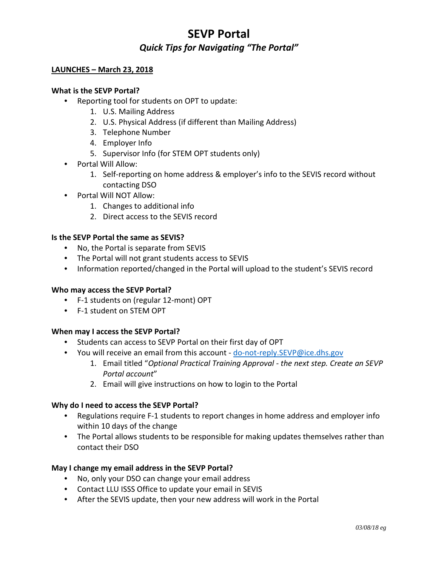# **SEVP Portal** *Quick Tips for Navigating "The Portal"*

#### **LAUNCHES – March 23, 2018**

#### **What is the SEVP Portal?**

- Reporting tool for students on OPT to update:
	- 1. U.S. Mailing Address
	- 2. U.S. Physical Address (if different than Mailing Address)
	- 3. Telephone Number
	- 4. Employer Info
	- 5. Supervisor Info (for STEM OPT students only)
- Portal Will Allow:
	- 1. Self-reporting on home address & employer's info to the SEVIS record without contacting DSO
- Portal Will NOT Allow:
	- 1. Changes to additional info
	- 2. Direct access to the SEVIS record

#### **Is the SEVP Portal the same as SEVIS?**

- No, the Portal is separate from SEVIS
- The Portal will not grant students access to SEVIS
- Information reported/changed in the Portal will upload to the student's SEVIS record

#### **Who may access the SEVP Portal?**

- F-1 students on (regular 12-mont) OPT
- F-1 student on STEM OPT

#### **When may I access the SEVP Portal?**

- Students can access to SEVP Portal on their first day of OPT
- You will receive an email from this account [do-not-reply.SEVP@ice.dhs.gov](mailto:do-not-reply.SEVP@ice.dhs.gov)
	- 1. Email titled "*Optional Practical Training Approval - the next step. Create an SEVP Portal account*"
	- 2. Email will give instructions on how to login to the Portal

#### **Why do I need to access the SEVP Portal?**

- Regulations require F-1 students to report changes in home address and employer info within 10 days of the change
- The Portal allows students to be responsible for making updates themselves rather than contact their DSO

#### **May I change my email address in the SEVP Portal?**

- No, only your DSO can change your email address
- Contact LLU ISSS Office to update your email in SEVIS
- After the SEVIS update, then your new address will work in the Portal